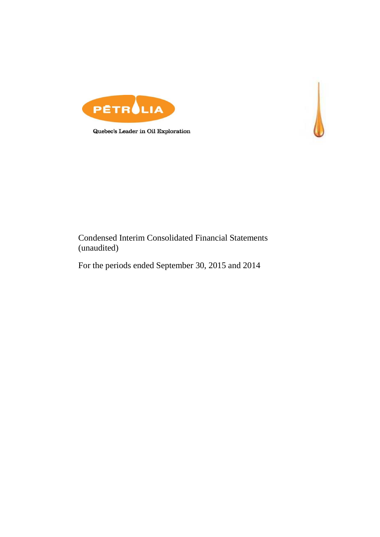

Quebec's Leader in Oil Exploration



For the periods ended September 30, 2015 and 2014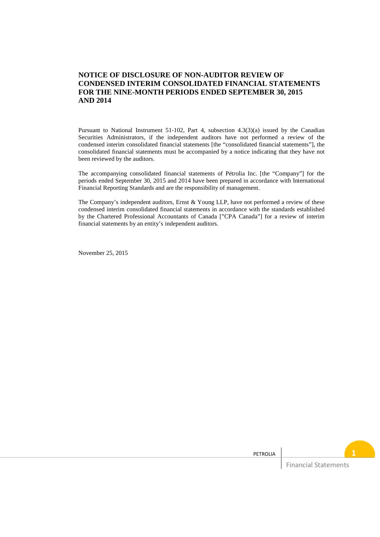### **NOTICE OF DISCLOSURE OF NON-AUDITOR REVIEW OF CONDENSED INTERIM CONSOLIDATED FINANCIAL STATEMENTS FOR THE NINE-MONTH PERIODS ENDED SEPTEMBER 30, 2015 AND 2014**

Pursuant to National Instrument 51-102, Part 4, subsection 4.3(3)(a) issued by the Canadian Securities Administrators, if the independent auditors have not performed a review of the condensed interim consolidated financial statements [the "consolidated financial statements"], the consolidated financial statements must be accompanied by a notice indicating that they have not been reviewed by the auditors.

The accompanying consolidated financial statements of Pétrolia Inc. [the "Company"] for the periods ended September 30, 2015 and 2014 have been prepared in accordance with International Financial Reporting Standards and are the responsibility of management.

The Company's independent auditors, Ernst  $&$  Young LLP, have not performed a review of these condensed interim consolidated financial statements in accordance with the standards established by the Chartered Professional Accountants of Canada ["CPA Canada"] for a review of interim financial statements by an entity's independent auditors.

November 25, 2015

| PETROLIA |                             |  |
|----------|-----------------------------|--|
|          | <b>Financial Statements</b> |  |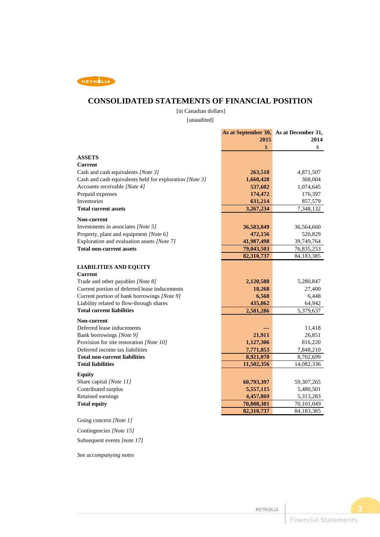

### **CONSOLIDATED STATEMENTS OF FINANCIAL POSITION**

[in Canadian dollars]

[unaudited]

|                                                         |            | As at September 30, As at December 31, |
|---------------------------------------------------------|------------|----------------------------------------|
|                                                         | 2015       | 2014                                   |
|                                                         | \$         | \$                                     |
| <b>ASSETS</b>                                           |            |                                        |
| Current                                                 |            |                                        |
| Cash and cash equivalents [Note 3]                      | 263,518    | 4,871,507                              |
| Cash and cash equivalents held for exploration [Note 3] | 1,660,428  | 368,004                                |
| Accounts receivable [Note 4]                            | 537,602    | 1,074,645                              |
| Prepaid expenses                                        | 174,472    | 176,397                                |
| Inventories                                             | 631,214    | 857,579                                |
| <b>Total current assets</b>                             | 3,267,234  | 7,348,132                              |
| <b>Non-current</b>                                      |            |                                        |
| Investments in associates [Note 5]                      | 36,583,849 | 36,564,660                             |
| Property, plant and equipment [Note 6]                  | 472,156    | 520,829                                |
| Exploration and evaluation assets [Note 7]              | 41,987,498 | 39,749,764                             |
| <b>Total non-current assets</b>                         | 79,043,503 | 76,835,253                             |
|                                                         | 82,310,737 | 84,183,385                             |
| <b>LIABILITIES AND EQUITY</b>                           |            |                                        |
| Current                                                 |            |                                        |
| Trade and other payables [Note 8]                       | 2,120,588  | 5,280,847                              |
| Current portion of deferred lease inducements           | 18,268     | 27,400                                 |
| Current portion of bank borrowings [Note 9]             | 6,568      | 6,448                                  |
| Liability related to flow-through shares                | 435,862    | 64,942                                 |
| <b>Total current liabilities</b>                        | 2,581,286  | 5,379,637                              |
| Non-current                                             |            |                                        |
| Deferred lease inducements                              |            | 11,418                                 |
| Bank borrowings [Note 9]                                | 21,911     | 26,851                                 |
| Provision for site restoration [Note 10]                | 1,127,306  | 816,220                                |
| Deferred income tax liabilities                         | 7,771,853  | 7,848,210                              |
| <b>Total non-current liabilities</b>                    | 8,921,070  | 8,702,699                              |
| <b>Total liabilities</b>                                | 11,502,356 | 14,082,336                             |
|                                                         |            |                                        |
| <b>Equity</b><br>Share capital [Note 11]                | 60,793,397 | 59,307,265                             |
| Contributed surplus                                     | 5,557,115  | 5,480,501                              |
| Retained earnings                                       | 4,457,869  | 5,313,283                              |
| <b>Total equity</b>                                     | 70,808,381 | 70,101,049                             |
|                                                         | 82,310,737 | 84,183,385                             |
|                                                         |            |                                        |

Going concern *[Note 1]*

Contingencies *[Note 15]*

Subsequent events *[note 17]*

*See accompanying notes*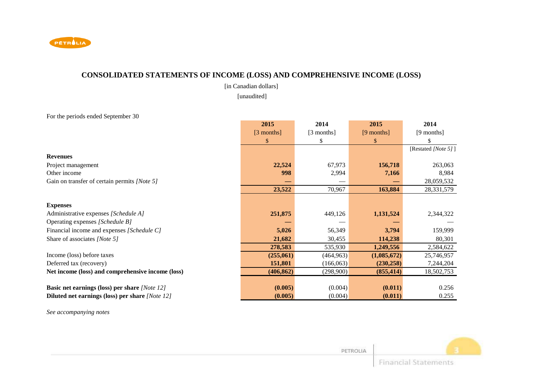

## **CONSOLIDATED STATEMENTS OF INCOME (LOSS) AND COMPREHENSIVE INCOME (LOSS)**

[in Canadian dollars]

[unaudited]

For the periods ended September 30

|                                                      | 2015         | 2014       | 2015         | 2014                |
|------------------------------------------------------|--------------|------------|--------------|---------------------|
|                                                      | $[3$ months] | [3 months] | $[9$ months] | [9 months]          |
|                                                      | \$.          |            | \$.          |                     |
|                                                      |              |            |              | [Restated [Note 5]] |
| <b>Revenues</b>                                      |              |            |              |                     |
| Project management                                   | 22,524       | 67,973     | 156,718      | 263,063             |
| Other income                                         | 998          | 2,994      | 7,166        | 8,984               |
| Gain on transfer of certain permits [Note 5]         |              |            |              | 28,059,532          |
|                                                      | 23,522       | 70,967     | 163,884      | 28, 331, 579        |
|                                                      |              |            |              |                     |
| <b>Expenses</b>                                      |              |            |              |                     |
| Administrative expenses [Schedule A]                 | 251,875      | 449,126    | 1,131,524    | 2,344,322           |
| Operating expenses [Schedule B]                      |              |            |              |                     |
| Financial income and expenses [Schedule C]           | 5,026        | 56,349     | 3,794        | 159,999             |
| Share of associates [Note 5]                         | 21,682       | 30,455     | 114,238      | 80,301              |
|                                                      | 278,583      | 535,930    | 1,249,556    | 2,584,622           |
| Income (loss) before taxes                           | (255,061)    | (464, 963) | (1,085,672)  | 25,746,957          |
| Deferred tax (recovery)                              | 151,801      | (166,063)  | (230, 258)   | 7,244,204           |
| Net income (loss) and comprehensive income (loss)    | (406, 862)   | (298,900)  | (855, 414)   | 18,502,753          |
|                                                      |              |            |              |                     |
| <b>Basic net earnings (loss) per share [Note 12]</b> | (0.005)      | (0.004)    | (0.011)      | 0.256               |
| Diluted net earnings (loss) per share [Note 12]      | (0.005)      | (0.004)    | (0.011)      | 0.255               |

*See accompanying notes* 

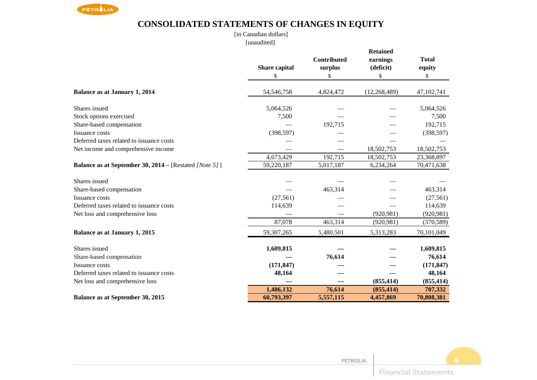

# **CONSOLIDATED STATEMENTS OF CHANGES IN EQUITY**

[in Canadian dollars][unaudited]

|                                                               | Share capital | Contributed<br>surplus | <b>Retained</b><br>earnings<br>(deficit) | <b>Total</b><br>equity |
|---------------------------------------------------------------|---------------|------------------------|------------------------------------------|------------------------|
|                                                               | \$            | \$                     | \$                                       | \$                     |
| <b>Balance as at January 1, 2014</b>                          | 54,546,758    | 4,824,472              | (12, 268, 489)                           | 47,102,741             |
| Shares issued                                                 | 5,064,526     |                        |                                          | 5,064,526              |
| Stock options exercised                                       | 7,500         |                        |                                          | 7,500                  |
| Share-based compensation                                      |               | 192,715                |                                          | 192,715                |
| <b>Issuance costs</b>                                         | (398, 597)    |                        |                                          | (398, 597)             |
| Deferred taxes related to issuance costs                      |               |                        |                                          |                        |
| Net income and comprehensive income                           |               |                        | 18,502,753                               | 18,502,753             |
|                                                               | 4,673,429     | 192,715                | 18,502,753                               | 23,368,897             |
| <b>Balance as at September 30, 2014 – [Restated [Note 5]]</b> | 59,220,187    | 5,017,187              | 6,234,264                                | 70,471,638             |
| Shares issued                                                 |               |                        |                                          |                        |
| Share-based compensation                                      |               | 463,314                |                                          | 463,314                |
| Issuance costs                                                | (27, 561)     |                        |                                          | (27, 561)              |
| Deferred taxes related to issuance costs                      | 114,639       |                        |                                          | 114,639                |
| Net loss and comprehensive loss                               |               |                        | (920, 981)                               | (920, 981)             |
|                                                               | 87,078        | 463,314                | (920, 981)                               | (370, 589)             |
| <b>Balance as at January 1, 2015</b>                          | 59,307,265    | 5,480,501              | 5,313,283                                | 70,101,049             |
| Shares issued                                                 | 1,609,815     |                        |                                          | 1,609,815              |
| Share-based compensation                                      |               | 76,614                 |                                          | 76,614                 |
| Issuance costs                                                | (171, 847)    |                        |                                          | (171, 847)             |
| Deferred taxes related to issuance costs                      | 48,164        |                        |                                          | 48,164                 |
| Net loss and comprehensive loss                               |               |                        | (855, 414)                               | (855, 414)             |
|                                                               | 1,486,132     | 76,614                 | (855, 414)                               | 707,332                |
| Balance as at September 30, 2015                              | 60,793,397    | 5,557,115              | 4,457,869                                | 70,808,381             |

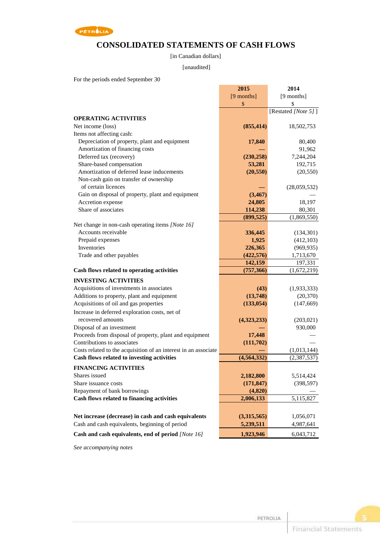

## **CONSOLIDATED STATEMENTS OF CASH FLOWS**

[in Canadian dollars]

#### [unaudited]

For the periods ended September 30

|                                                                 | 2015          | 2014                |
|-----------------------------------------------------------------|---------------|---------------------|
|                                                                 | [9 months]    | [9 months]          |
|                                                                 | \$            | \$                  |
|                                                                 |               | [Restated [Note 5]] |
| <b>OPERATING ACTIVITIES</b>                                     |               |                     |
| Net income (loss)                                               | (855, 414)    | 18,502,753          |
| Items not affecting cash:                                       |               |                     |
| Depreciation of property, plant and equipment                   | 17,840        | 80,400              |
| Amortization of financing costs                                 |               | 91,962              |
| Deferred tax (recovery)                                         | (230, 258)    | 7,244,204           |
| Share-based compensation                                        | 53,281        | 192,715             |
| Amortization of deferred lease inducements                      | (20, 550)     | (20, 550)           |
| Non-cash gain on transfer of ownership                          |               |                     |
| of certain licences                                             |               | (28,059,532)        |
| Gain on disposal of property, plant and equipment               | (3, 467)      |                     |
| Accretion expense                                               | 24,805        | 18,197              |
| Share of associates                                             | 114,238       | 80,301              |
|                                                                 | (899, 525)    | (1,869,550)         |
| Net change in non-cash operating items [Note 16]                |               |                     |
| Accounts receivable                                             | 336,445       | (134, 301)          |
| Prepaid expenses                                                | 1,925         | (412, 103)          |
| <b>Inventories</b>                                              | 226,365       | (969, 935)          |
| Trade and other payables                                        | (422, 576)    | 1,713,670           |
|                                                                 | 142,159       | 197,331             |
| Cash flows related to operating activities                      | (757, 366)    | (1,672,219)         |
|                                                                 |               |                     |
| <b>INVESTING ACTIVITIES</b>                                     |               |                     |
| Acquisitions of investments in associates                       | (43)          | (1,933,333)         |
| Additions to property, plant and equipment                      | (13,748)      | (20, 370)           |
| Acquisitions of oil and gas properties                          | (133, 054)    | (147, 669)          |
| Increase in deferred exploration costs, net of                  |               |                     |
| recovered amounts                                               | (4,323,233)   | (203, 021)          |
| Disposal of an investment                                       |               | 930,000             |
| Proceeds from disposal of property, plant and equipment         | 17,448        |                     |
| Contributions to associates                                     | (111, 702)    |                     |
| Costs related to the acquisition of an interest in an associate |               | (1,013,144)         |
| Cash flows related to investing activities                      | (4, 564, 332) | (2,387,537)         |
| <b>FINANCING ACTIVITIES</b>                                     |               |                     |
| Shares issued                                                   | 2,182,800     | 5,514,424           |
| Share issuance costs                                            | (171, 847)    | (398, 597)          |
| Repayment of bank borrowings                                    | (4, 820)      |                     |
| Cash flows related to financing activities                      | 2,006,133     | 5,115,827           |
|                                                                 |               |                     |
| Net increase (decrease) in cash and cash equivalents            | (3,315,565)   |                     |
|                                                                 |               | 1,056,071           |
| Cash and cash equivalents, beginning of period                  | 5,239,511     | 4,987,641           |
| Cash and cash equivalents, end of period [Note 16]              | 1,923,946     | 6,043,712           |

*See accompanying notes*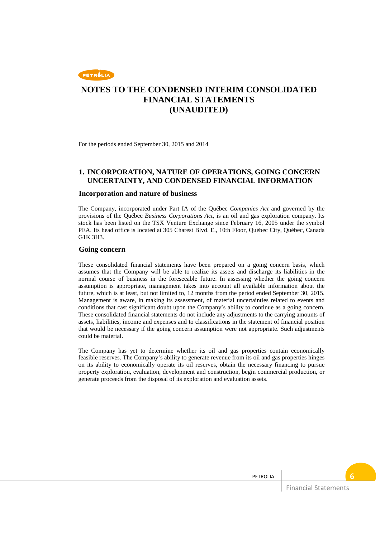

For the periods ended September 30, 2015 and 2014

### **1. INCORPORATION, NATURE OF OPERATIONS, GOING CONCERN UNCERTAINTY, AND CONDENSED FINANCIAL INFORMATION**

#### **Incorporation and nature of business**

The Company, incorporated under Part IA of the Québec *Companies Act* and governed by the provisions of the Québec *Business Corporations Act*, is an oil and gas exploration company. Its stock has been listed on the TSX Venture Exchange since February 16, 2005 under the symbol PEA. Its head office is located at 305 Charest Blvd. E., 10th Floor, Québec City, Québec, Canada G1K 3H3.

#### **Going concern**

These consolidated financial statements have been prepared on a going concern basis, which assumes that the Company will be able to realize its assets and discharge its liabilities in the normal course of business in the foreseeable future. In assessing whether the going concern assumption is appropriate, management takes into account all available information about the future, which is at least, but not limited to, 12 months from the period ended September 30, 2015. Management is aware, in making its assessment, of material uncertainties related to events and conditions that cast significant doubt upon the Company's ability to continue as a going concern. These consolidated financial statements do not include any adjustments to the carrying amounts of assets, liabilities, income and expenses and to classifications in the statement of financial position that would be necessary if the going concern assumption were not appropriate. Such adjustments could be material.

The Company has yet to determine whether its oil and gas properties contain economically feasible reserves. The Company's ability to generate revenue from its oil and gas properties hinges on its ability to economically operate its oil reserves, obtain the necessary financing to pursue property exploration, evaluation, development and construction, begin commercial production, or generate proceeds from the disposal of its exploration and evaluation assets.

PETROLIA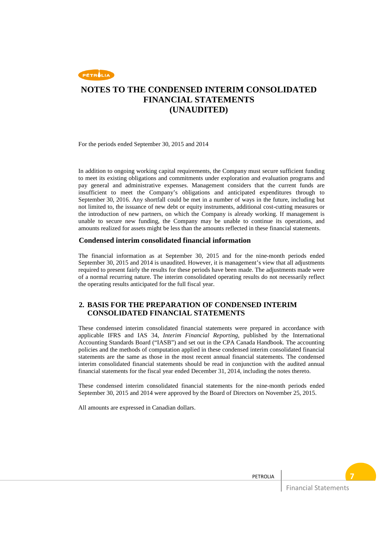

For the periods ended September 30, 2015 and 2014

In addition to ongoing working capital requirements, the Company must secure sufficient funding to meet its existing obligations and commitments under exploration and evaluation programs and pay general and administrative expenses. Management considers that the current funds are insufficient to meet the Company's obligations and anticipated expenditures through to September 30, 2016. Any shortfall could be met in a number of ways in the future, including but not limited to, the issuance of new debt or equity instruments, additional cost-cutting measures or the introduction of new partners, on which the Company is already working. If management is unable to secure new funding, the Company may be unable to continue its operations, and amounts realized for assets might be less than the amounts reflected in these financial statements.

#### **Condensed interim consolidated financial information**

The financial information as at September 30, 2015 and for the nine-month periods ended September 30, 2015 and 2014 is unaudited. However, it is management's view that all adjustments required to present fairly the results for these periods have been made. The adjustments made were of a normal recurring nature. The interim consolidated operating results do not necessarily reflect the operating results anticipated for the full fiscal year.

### **2. BASIS FOR THE PREPARATION OF CONDENSED INTERIM CONSOLIDATED FINANCIAL STATEMENTS**

These condensed interim consolidated financial statements were prepared in accordance with applicable IFRS and IAS 34, *Interim Financial Reporting*, published by the International Accounting Standards Board ("IASB") and set out in the CPA Canada Handbook. The accounting policies and the methods of computation applied in these condensed interim consolidated financial statements are the same as those in the most recent annual financial statements. The condensed interim consolidated financial statements should be read in conjunction with the audited annual financial statements for the fiscal year ended December 31, 2014, including the notes thereto.

These condensed interim consolidated financial statements for the nine-month periods ended September 30, 2015 and 2014 were approved by the Board of Directors on November 25, 2015.

All amounts are expressed in Canadian dollars.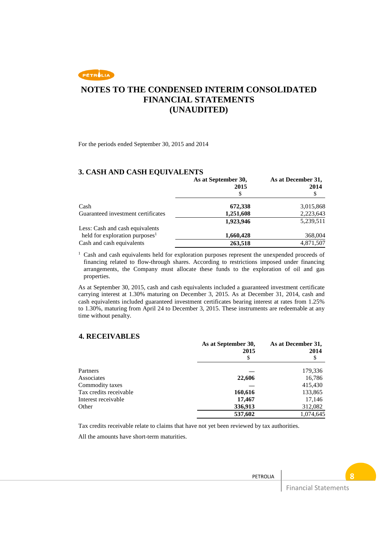# **NOTES TO THE CONDENSED INTERIM CONSOLIDATED FINANCIAL STATEMENTS (UNAUDITED)**

For the periods ended September 30, 2015 and 2014

### **3. CASH AND CASH EQUIVALENTS**

|                                            | As at September 30,<br>2015 | As at December 31,<br>2014 |
|--------------------------------------------|-----------------------------|----------------------------|
|                                            | S                           | \$                         |
| Cash                                       | 672,338                     | 3,015,868                  |
| Guaranteed investment certificates         | 1,251,608                   | 2,223,643                  |
|                                            | 1,923,946                   | 5,239,511                  |
| Less: Cash and cash equivalents            |                             |                            |
| held for exploration purposes <sup>1</sup> | 1,660,428                   | 368,004                    |
| Cash and cash equivalents                  | 263,518                     | 4,871,507                  |

<sup>1</sup> Cash and cash equivalents held for exploration purposes represent the unexpended proceeds of financing related to flow-through shares. According to restrictions imposed under financing arrangements, the Company must allocate these funds to the exploration of oil and gas properties.

As at September 30, 2015, cash and cash equivalents included a guaranteed investment certificate carrying interest at 1.30% maturing on December 3, 2015. As at December 31, 2014, cash and cash equivalents included guaranteed investment certificates bearing interest at rates from 1.25% to 1.30%, maturing from April 24 to December 3, 2015. These instruments are redeemable at any time without penalty.

#### **4. RECEIVABLES**

|                        | As at September 30,<br>2015 | As at December 31,<br>2014 |
|------------------------|-----------------------------|----------------------------|
|                        | S                           | S                          |
| Partners               |                             | 179,336                    |
| Associates             | 22,606                      | 16,786                     |
| Commodity taxes        |                             | 415,430                    |
| Tax credits receivable | 160,616                     | 133,865                    |
| Interest receivable    | 17,467                      | 17,146                     |
| Other                  | 336,913                     | 312,082                    |
|                        | 537,602                     | 1,074,645                  |

Tax credits receivable relate to claims that have not yet been reviewed by tax authorities.

All the amounts have short-term maturities.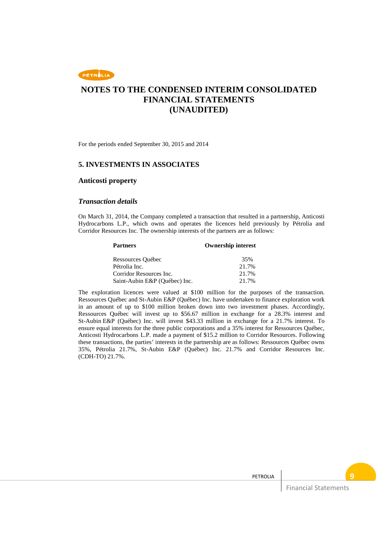

For the periods ended September 30, 2015 and 2014

### **5. INVESTMENTS IN ASSOCIATES**

#### **Anticosti property**

#### *Transaction details*

On March 31, 2014, the Company completed a transaction that resulted in a partnership, Anticosti Hydrocarbons L.P., which owns and operates the licences held previously by Pétrolia and Corridor Resources Inc. The ownership interests of the partners are as follows:

| <b>Partners</b>               | <b>Ownership interest</b> |
|-------------------------------|---------------------------|
| Ressources Québec             | 35%                       |
| Pétrolia Inc.                 | 21.7%                     |
| Corridor Resources Inc.       | 21.7%                     |
| Saint-Aubin E&P (Ouébec) Inc. | 21.7%                     |

The exploration licences were valued at \$100 million for the purposes of the transaction. Ressources Québec and St-Aubin E&P (Québec) Inc. have undertaken to finance exploration work in an amount of up to \$100 million broken down into two investment phases. Accordingly, Ressources Québec will invest up to \$56.67 million in exchange for a 28.3% interest and St-Aubin E&P (Québec) Inc. will invest \$43.33 million in exchange for a 21.7% interest. To ensure equal interests for the three public corporations and a 35% interest for Ressources Québec, Anticosti Hydrocarbons L.P. made a payment of \$15.2 million to Corridor Resources. Following these transactions, the parties' interests in the partnership are as follows: Ressources Québec owns 35%, Pétrolia 21.7%, St-Aubin E&P (Québec) Inc. 21.7% and Corridor Resources Inc. (CDH-TO) 21.7%.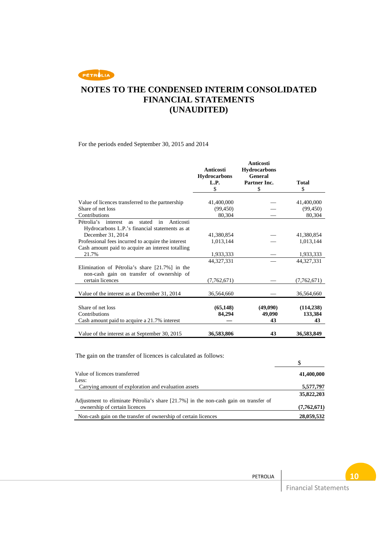# **NOTES TO THE CONDENSED INTERIM CONSOLIDATED FINANCIAL STATEMENTS (UNAUDITED)**

For the periods ended September 30, 2015 and 2014

|                                                                                                                    | <b>Anticosti</b><br><b>Hydrocarbons</b><br>L.P.<br>\$ | <b>Anticosti</b><br><b>Hydrocarbons</b><br>General<br>Partner Inc.<br>\$ | Total<br>\$           |
|--------------------------------------------------------------------------------------------------------------------|-------------------------------------------------------|--------------------------------------------------------------------------|-----------------------|
| Value of licences transferred to the partnership                                                                   | 41,400,000                                            |                                                                          | 41,400,000            |
| Share of net loss                                                                                                  | (99, 450)                                             |                                                                          | (99, 450)             |
| Contributions                                                                                                      | 80,304                                                |                                                                          | 80,304                |
| Pétrolia's<br>in<br>Anticosti<br>stated<br>interest<br><b>as</b><br>Hydrocarbons L.P.'s financial statements as at |                                                       |                                                                          |                       |
| December 31, 2014                                                                                                  | 41.380.854                                            |                                                                          | 41.380.854            |
| Professional fees incurred to acquire the interest                                                                 | 1,013,144                                             |                                                                          | 1,013,144             |
| Cash amount paid to acquire an interest totalling                                                                  |                                                       |                                                                          |                       |
| 21.7%                                                                                                              | 1,933,333                                             |                                                                          | 1,933,333             |
|                                                                                                                    | 44,327,331                                            |                                                                          | 44, 327, 331          |
| Elimination of Pétrolia's share [21.7%] in the<br>non-cash gain on transfer of ownership of                        |                                                       |                                                                          |                       |
| certain licences                                                                                                   | (7,762,671)                                           |                                                                          | (7,762,671)           |
| Value of the interest as at December 31, 2014                                                                      | 36,564,660                                            |                                                                          | 36,564,660            |
| Share of net loss<br>Contributions                                                                                 | (65, 148)<br>84.294                                   | (49,090)<br>49,090                                                       | (114, 238)<br>133,384 |
| Cash amount paid to acquire a 21.7% interest                                                                       |                                                       | 43                                                                       | 43                    |
| Value of the interest as at September 30, 2015                                                                     | 36,583,806                                            | 43                                                                       | 36,583,849            |

| The gain on the transfer of licences is calculated as follows:                       |             |
|--------------------------------------------------------------------------------------|-------------|
|                                                                                      |             |
| Value of licences transferred                                                        | 41,400,000  |
| Less:                                                                                |             |
| Carrying amount of exploration and evaluation assets                                 | 5,577,797   |
|                                                                                      | 35,822,203  |
| Adjustment to eliminate Pétrolia's share [21.7%] in the non-cash gain on transfer of |             |
| ownership of certain licences                                                        | (7,762,671) |
| Non-cash gain on the transfer of ownership of certain licences                       | 28,059,532  |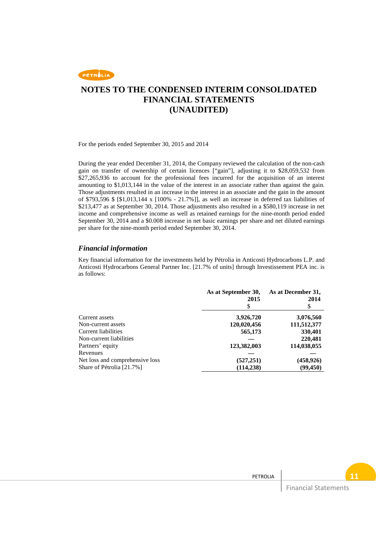

For the periods ended September 30, 2015 and 2014

During the year ended December 31, 2014, the Company reviewed the calculation of the non-cash gain on transfer of ownership of certain licences ["gain"], adjusting it to \$28,059,532 from \$27,265,936 to account for the professional fees incurred for the acquisition of an interest amounting to \$1,013,144 in the value of the interest in an associate rather than against the gain. Those adjustments resulted in an increase in the interest in an associate and the gain in the amount of \$793,596 \$ [\$1,013,144 x [100% - 21.7%]], as well an increase in deferred tax liabilities of \$213,477 as at September 30, 2014. Those adjustments also resulted in a \$580,119 increase in net income and comprehensive income as well as retained earnings for the nine-month period ended September 30, 2014 and a \$0.008 increase in net basic earnings per share and net diluted earnings per share for the nine-month period ended September 30, 2014.

#### *Financial information*

Key financial information for the investments held by Pétrolia in Anticosti Hydrocarbons L.P. and Anticosti Hydrocarbons General Partner Inc. [21.7% of units] through Investissement PEA inc. is as follows:

|                                 | As at September 30,<br>2015<br>\$ | As at December 31,<br>2014<br>S |
|---------------------------------|-----------------------------------|---------------------------------|
| Current assets                  | 3,926,720                         | 3,076,560                       |
| Non-current assets              | 120,020,456                       | 111,512,377                     |
| Current liabilities             | 565,173                           | 330,401                         |
| Non-current liabilities         |                                   | 220,481                         |
| Partners' equity                | 123,382,003                       | 114,038,055                     |
| Revenues                        |                                   |                                 |
| Net loss and comprehensive loss | (527, 251)                        | (458, 926)                      |
| Share of Pétrolia [21.7%]       | (114, 238)                        | (99, 450)                       |

PETROLIA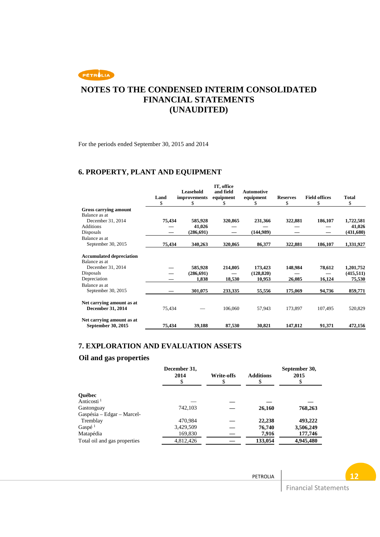

For the periods ended September 30, 2015 and 2014

## **6. PROPERTY, PLANT AND EQUIPMENT**

|                                 |        | <b>Leasehold</b>    | IT, office<br>and field | <b>Automotive</b> |                 |                      |              |
|---------------------------------|--------|---------------------|-------------------------|-------------------|-----------------|----------------------|--------------|
|                                 | Land   | <i>improvements</i> | equipment               | equipment         | <b>Reserves</b> | <b>Field offices</b> | <b>Total</b> |
|                                 | \$     | \$                  |                         | S                 | \$              | \$                   | \$           |
| Gross carrying amount           |        |                     |                         |                   |                 |                      |              |
| Balance as at                   |        |                     |                         |                   |                 |                      |              |
| December 31, 2014               | 75,434 | 585,928             | 320,865                 | 231,366           | 322,881         | 186,107              | 1,722,581    |
| <b>Additions</b>                |        | 41,026              |                         |                   |                 |                      | 41,026       |
| <b>Disposals</b>                |        | (286, 691)          |                         | (144,989)         |                 |                      | (431,680)    |
| Balance as at                   |        |                     |                         |                   |                 |                      |              |
| September 30, 2015              | 75,434 | 340,263             | 320,865                 | 86,377            | 322,881         | 186,107              | 1,331,927    |
| <b>Accumulated depreciation</b> |        |                     |                         |                   |                 |                      |              |
| Balance as at                   |        |                     |                         |                   |                 |                      |              |
| December 31, 2014               |        | 585,928             | 214,805                 | 173,423           | 148,984         | 78,612               | 1,201,752    |
| Disposals                       |        | (286,691)           |                         | (128, 820)        |                 |                      | (415, 511)   |
| Depreciation                    |        | 1,838               | 18,530                  | 10,953            | 26,085          | 16,124               | 75,530       |
| Balance as at                   |        |                     |                         |                   |                 |                      |              |
| September 30, 2015              |        | 301,075             | 233,335                 | 55,556            | 175,069         | 94,736               | 859,771      |
| Net carrying amount as at       |        |                     |                         |                   |                 |                      |              |
| <b>December 31, 2014</b>        | 75,434 |                     | 106,060                 | 57,943            | 173,897         | 107,495              | 520,829      |
| Net carrying amount as at       |        |                     |                         |                   |                 |                      |              |
| September 30, 2015              | 75,434 | 39,188              | 87,530                  | 30,821            | 147,812         | 91,371               | 472,156      |

## **7. EXPLORATION AND EVALUATION ASSETS**

## **Oil and gas properties**

| <b>Ouébec</b><br>Anticosti <sup>1</sup><br>742,103<br>Gastonguay<br>26,160<br>768,263<br>Gaspésia – Edgar – Marcel-<br>470.984<br>22,238<br>Tremblay<br>Gaspé <sup>1</sup><br>3,429,509<br>76,740<br>Matapédia<br>169,830<br>7,916<br>4,812,426<br>Total oil and gas properties<br>133,054 | December 31,<br>2014<br>\$ | <b>Write-offs</b> | <b>Additions</b><br>S | September 30,<br>2015 |
|--------------------------------------------------------------------------------------------------------------------------------------------------------------------------------------------------------------------------------------------------------------------------------------------|----------------------------|-------------------|-----------------------|-----------------------|
|                                                                                                                                                                                                                                                                                            |                            |                   |                       |                       |
|                                                                                                                                                                                                                                                                                            |                            |                   |                       |                       |
|                                                                                                                                                                                                                                                                                            |                            |                   |                       |                       |
|                                                                                                                                                                                                                                                                                            |                            |                   |                       |                       |
|                                                                                                                                                                                                                                                                                            |                            |                   |                       | 493,222               |
|                                                                                                                                                                                                                                                                                            |                            |                   |                       | 3,506,249             |
|                                                                                                                                                                                                                                                                                            |                            |                   |                       | 177,746               |
|                                                                                                                                                                                                                                                                                            |                            |                   |                       | 4,945,480             |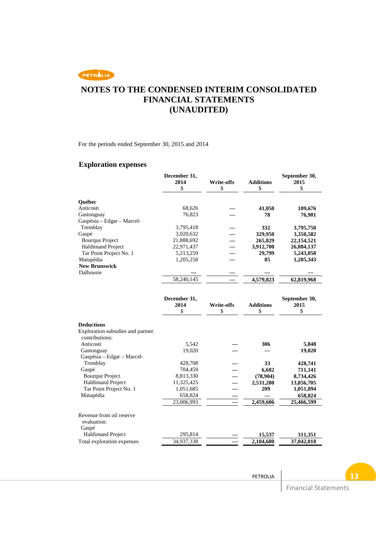

For the periods ended September 30, 2015 and 2014

### **Exploration expenses**

|                                   | December 31,<br>2014 | <b>Write-offs</b> | <b>Additions</b> | September 30,<br>2015 |
|-----------------------------------|----------------------|-------------------|------------------|-----------------------|
|                                   | \$                   | \$                | \$               | \$                    |
| Québec                            |                      |                   |                  |                       |
| Anticosti                         | 68,626               |                   | 41,050           | 109,676               |
| Gastonguay                        | 76,823               |                   | 78               | 76,901                |
| Gaspésia - Edgar - Marcel-        |                      |                   |                  |                       |
| Tremblay                          | 3,795,418            |                   | 332              | 3,795,750             |
| Gaspé                             | 3,020,632            |                   | 329,950          | 3,350,582             |
| <b>Bourque Project</b>            | 21,888,692           |                   | 265,829          | 22,154,521            |
| <b>Haldimand Project</b>          | 22,971,437           |                   | 3,912,700        | 26,884,137            |
| Tar Point Project No. 1           | 5,213,259            |                   | 29,799           | 5,243,058             |
| Matapédia                         | 1,205,258            |                   | 85               | 1,205,343             |
| <b>New Brunswick</b>              |                      |                   |                  |                       |
| Dalhousie                         |                      |                   |                  |                       |
|                                   | 58,240,145           |                   | 4,579,823        | 62,819,968            |
|                                   |                      |                   |                  |                       |
|                                   | December 31,         |                   |                  | September 30,         |
|                                   | 2014                 | <b>Write-offs</b> | <b>Additions</b> | 2015                  |
|                                   | \$                   | \$                | \$               | \$                    |
|                                   |                      |                   |                  |                       |
| <b>Deductions</b>                 |                      |                   |                  |                       |
| Exploration subsidies and partner |                      |                   |                  |                       |
| contributions:                    |                      |                   |                  |                       |
| Anticosti                         | 5,542                |                   | 306              | 5,848                 |
| Gastonguay                        | 19,020               |                   |                  | 19,020                |
| Gaspésia - Edgar - Marcel-        |                      |                   |                  |                       |
| Tremblay                          | 428,708              |                   | 33               | 428,741               |
| Gaspé                             | 704,459              |                   | 6,682            | 711,141               |
| <b>Bourque Project</b>            | 8,813,330            |                   | (78,904)         | 8,734,426             |
| <b>Haldimand Project</b>          | 11,325,425           |                   | 2,531,280        | 13,856,705            |
| Tar Point Project No. 1           | 1,051,685            |                   | 209              | 1,051,894             |
| Matapédia                         | 658,824              |                   |                  | 658,824               |
|                                   | 23,006,993           |                   | 2,459,606        | 25,466,599            |
| Revenue from oil reserve          |                      |                   |                  |                       |
| evaluation:                       |                      |                   |                  |                       |
| Gaspé                             |                      |                   |                  |                       |
| <b>Haldimand Project</b>          | 295,814              |                   | 15,537           | 311,351               |
| Total exploration expenses        | 34,937,338           |                   | 2,104,680        | 37,042,018            |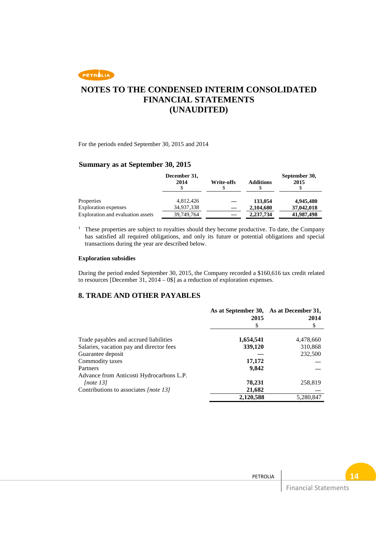

For the periods ended September 30, 2015 and 2014

### **Summary as at September 30, 2015**

|                                    | December 31,<br>2014    | Write-offs | <b>Additions</b>     | September 30,<br>2015   |
|------------------------------------|-------------------------|------------|----------------------|-------------------------|
| Properties<br>Exploration expenses | 4.812.426<br>34,937,338 |            | 133,054<br>2,104,680 | 4,945,480<br>37,042,018 |
| Exploration and evaluation assets  | 39,749,764              |            | 2,237,734            | 41,987,498              |

<sup>1</sup> These properties are subject to royalties should they become productive. To date, the Company has satisfied all required obligations, and only its future or potential obligations and special transactions during the year are described below.

#### **Exploration subsidies**

During the period ended September 30, 2015, the Company recorded a \$160,616 tax credit related to resources [December 31,  $2014 - 0$ \$] as a reduction of exploration expenses.

### **8. TRADE AND OTHER PAYABLES**

|                                          | As at September 30,<br>2015 | As at December 31,<br>2014 |
|------------------------------------------|-----------------------------|----------------------------|
|                                          | \$                          | \$                         |
| Trade payables and accrued liabilities   | 1,654,541                   | 4,478,660                  |
| Salaries, vacation pay and director fees | 339,120                     | 310,868                    |
| Guarantee deposit                        |                             | 232,500                    |
| Commodity taxes                          | 17,172                      |                            |
| Partners                                 | 9,842                       |                            |
| Advance from Anticosti Hydrocarbons L.P. |                             |                            |
| [note 13]                                | 78,231                      | 258,819                    |
| Contributions to associates [note 13]    | 21,682                      |                            |
|                                          | 2,120,588                   | 5,280,847                  |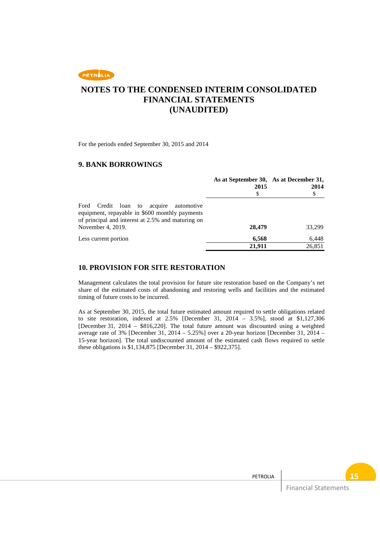

For the periods ended September 30, 2015 and 2014

### **9. BANK BORROWINGS**

|                                                                                                                                                                          | As at September 30, As at December 31,<br>2015<br>\$ | 2014<br>\$ |
|--------------------------------------------------------------------------------------------------------------------------------------------------------------------------|------------------------------------------------------|------------|
| Ford<br>Credit loan to<br>acquire automotive<br>equipment, repayable in \$600 monthly payments<br>of principal and interest at 2.5% and maturing on<br>November 4, 2019. | 28,479                                               | 33,299     |
| Less current portion                                                                                                                                                     | 6,568                                                | 6,448      |
|                                                                                                                                                                          | 21.911                                               | 26,851     |

#### **10. PROVISION FOR SITE RESTORATION**

Management calculates the total provision for future site restoration based on the Company's net share of the estimated costs of abandoning and restoring wells and facilities and the estimated timing of future costs to be incurred.

As at September 30, 2015, the total future estimated amount required to settle obligations related to site restoration, indexed at 2.5% [December 31, 2014 – 3.5%], stood at \$1,127,306 [December 31, 2014 – \$816,220]. The total future amount was discounted using a weighted average rate of 3% [December 31, 2014 – 5.25%] over a 20-year horizon [December 31, 2014 – 15-year horizon]. The total undiscounted amount of the estimated cash flows required to settle these obligations is \$1,134,875 [December 31, 2014 – \$922,375].

PETROLIA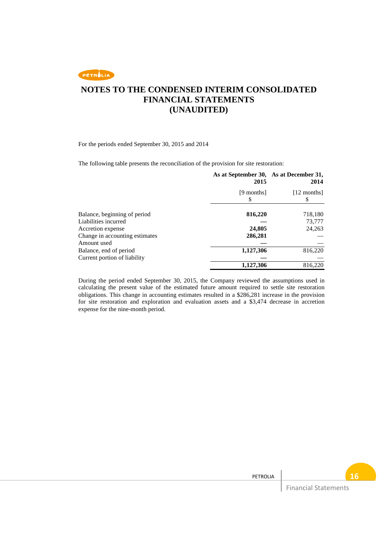

For the periods ended September 30, 2015 and 2014

The following table presents the reconciliation of the provision for site restoration:

|                                                      | As at September 30, As at December 31,<br>2015 | 2014              |
|------------------------------------------------------|------------------------------------------------|-------------------|
|                                                      | [9 months]<br>S                                | [12 months]<br>\$ |
| Balance, beginning of period<br>Liabilities incurred | 816,220                                        | 718,180<br>73,777 |
| Accretion expense                                    | 24,805                                         | 24,263            |
| Change in accounting estimates<br>Amount used        | 286,281                                        |                   |
| Balance, end of period                               | 1,127,306                                      | 816,220           |
| Current portion of liability                         |                                                |                   |
|                                                      | 1,127,306                                      | 816,220           |

During the period ended September 30, 2015, the Company reviewed the assumptions used in calculating the present value of the estimated future amount required to settle site restoration obligations. This change in accounting estimates resulted in a \$286,281 increase in the provision for site restoration and exploration and evaluation assets and a \$3,474 decrease in accretion expense for the nine-month period.

PETROLIA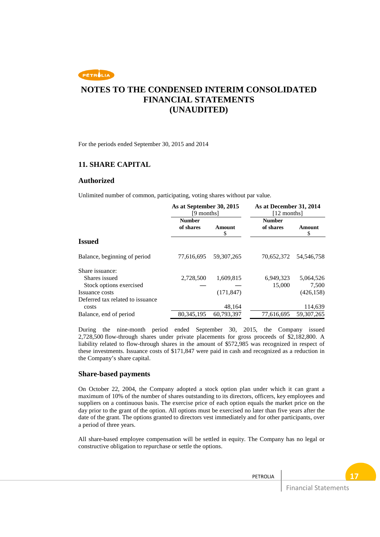# **NOTES TO THE CONDENSED INTERIM CONSOLIDATED FINANCIAL STATEMENTS (UNAUDITED)**

For the periods ended September 30, 2015 and 2014

### **11. SHARE CAPITAL**

#### **Authorized**

Unlimited number of common, participating, voting shares without par value.

|                                  | As at September 30, 2015<br>[9 months] |              | As at December 31, 2014<br>[12 months] |              |
|----------------------------------|----------------------------------------|--------------|----------------------------------------|--------------|
|                                  | <b>Number</b><br>of shares             | Amount<br>\$ | <b>Number</b><br>of shares             | Amount<br>\$ |
| <b>Issued</b>                    |                                        |              |                                        |              |
| Balance, beginning of period     | 77,616,695                             | 59, 307, 265 | 70,652,372                             | 54, 546, 758 |
| Share issuance:                  |                                        |              |                                        |              |
| Shares issued                    | 2,728,500                              | 1,609,815    | 6,949,323                              | 5,064,526    |
| Stock options exercised          |                                        |              | 15,000                                 | 7,500        |
| Issuance costs                   |                                        | (171, 847)   |                                        | (426, 158)   |
| Deferred tax related to issuance |                                        |              |                                        |              |
| costs                            |                                        | 48,164       |                                        | 114,639      |
| Balance, end of period           | 80, 345, 195                           | 60,793,397   | 77,616,695                             | 59, 307, 265 |

During the nine-month period ended September 30, 2015, the Company issued 2,728,500 flow-through shares under private placements for gross proceeds of \$2,182,800. A liability related to flow-through shares in the amount of \$572,985 was recognized in respect of these investments. Issuance costs of \$171,847 were paid in cash and recognized as a reduction in the Company's share capital.

### **Share-based payments**

On October 22, 2004, the Company adopted a stock option plan under which it can grant a maximum of 10% of the number of shares outstanding to its directors, officers, key employees and suppliers on a continuous basis. The exercise price of each option equals the market price on the day prior to the grant of the option. All options must be exercised no later than five years after the date of the grant. The options granted to directors vest immediately and for other participants, over a period of three years.

All share-based employee compensation will be settled in equity. The Company has no legal or constructive obligation to repurchase or settle the options.

PETROLIA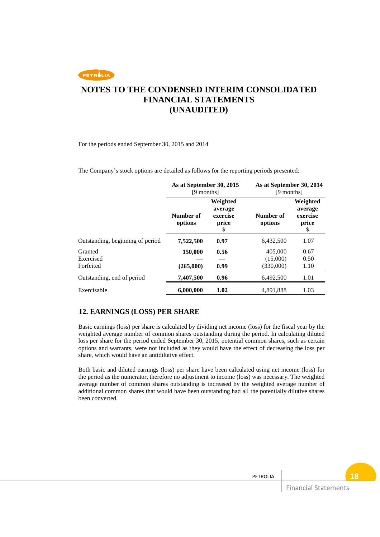

For the periods ended September 30, 2015 and 2014

The Company's stock options are detailed as follows for the reporting periods presented:

|                                   | As at September 30, 2015<br>[9 months] |                                                | As at September 30, 2014<br>[9 months] |                                                |
|-----------------------------------|----------------------------------------|------------------------------------------------|----------------------------------------|------------------------------------------------|
|                                   | Number of<br>options                   | Weighted<br>average<br>exercise<br>price<br>\$ | Number of<br>options                   | Weighted<br>average<br>exercise<br>price<br>\$ |
| Outstanding, beginning of period  | 7,522,500                              | 0.97                                           | 6,432,500                              | 1.07                                           |
| Granted<br>Exercised<br>Forfeited | 150,000<br>(265,000)                   | 0.56<br>0.99                                   | 405,000<br>(15,000)<br>(330,000)       | 0.67<br>0.50<br>1.10                           |
| Outstanding, end of period        | 7,407,500                              | 0.96                                           | 6,492,500                              | 1.01                                           |
| Exercisable                       | 6,000,000                              | 1.02                                           | 4,891,888                              | 1.03                                           |

### **12. EARNINGS (LOSS) PER SHARE**

Basic earnings (loss) per share is calculated by dividing net income (loss) for the fiscal year by the weighted average number of common shares outstanding during the period. In calculating diluted loss per share for the period ended September 30, 2015, potential common shares, such as certain options and warrants, were not included as they would have the effect of decreasing the loss per share, which would have an antidilutive effect.

Both basic and diluted earnings (loss) per share have been calculated using net income (loss) for the period as the numerator, therefore no adjustment to income (loss) was necessary. The weighted average number of common shares outstanding is increased by the weighted average number of additional common shares that would have been outstanding had all the potentially dilutive shares been converted.

PETROLIA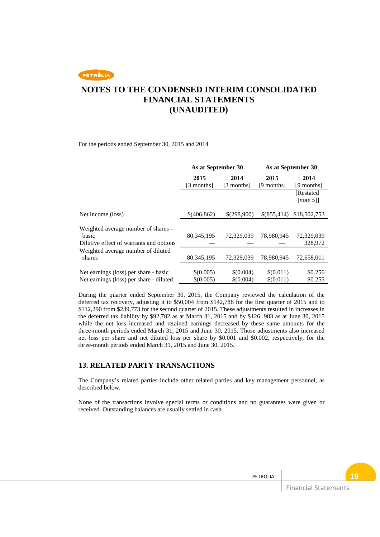# **NOTES TO THE CONDENSED INTERIM CONSOLIDATED FINANCIAL STATEMENTS (UNAUDITED)**

For the periods ended September 30, 2015 and 2014

|                                                                                         | As at September 30     |                        |                        | As at September 30     |
|-----------------------------------------------------------------------------------------|------------------------|------------------------|------------------------|------------------------|
|                                                                                         | 2015<br>[3 months]     | 2014<br>[3 months]     | 2015<br>[9 months]     | 2014<br>[9 months]     |
|                                                                                         |                        |                        |                        | [Restated]<br>[note 5] |
| Net income (loss)                                                                       | \$(406,862)            | \$(298,900)            | \$(855,414)            | \$18,502,753           |
| Weighted average number of shares -<br>basic<br>Dilutive effect of warrants and options | 80, 345, 195           | 72.329.039             | 78.980.945             | 72,329,039<br>328,972  |
| Weighted average number of diluted<br>shares                                            | 80, 345, 195           | 72,329,039             | 78,980,945             | 72,658,011             |
| Net earnings (loss) per share - basic<br>Net earnings (loss) per share - diluted        | \$(0.005)<br>\$(0.005) | \$(0.004)<br>\$(0.004) | \$(0.011)<br>\$(0.011) | \$0.256<br>\$0.255     |

During the quarter ended September 30, 2015, the Company reviewed the calculation of the deferred tax recovery, adjusting it to \$50,004 from \$142,786 for the first quarter of 2015 and to \$112,290 from \$239,773 for the second quarter of 2015. These adjustments resulted in increases in the deferred tax liability by \$92,782 as at March 31, 2015 and by \$126, 983 as at June 30, 2015 while the net loss increased and retained earnings decreased by these same amounts for the three-month periods ended March 31, 2015 and June 30, 2015. Those adjustments also increased net loss per share and net diluted loss per share by \$0.001 and \$0.002, respectively, for the three-month periods ended March 31, 2015 and June 30, 2015.

### **13. RELATED PARTY TRANSACTIONS**

The Company's related parties include other related parties and key management personnel, as described below.

None of the transactions involve special terms or conditions and no guarantees were given or received. Outstanding balances are usually settled in cash.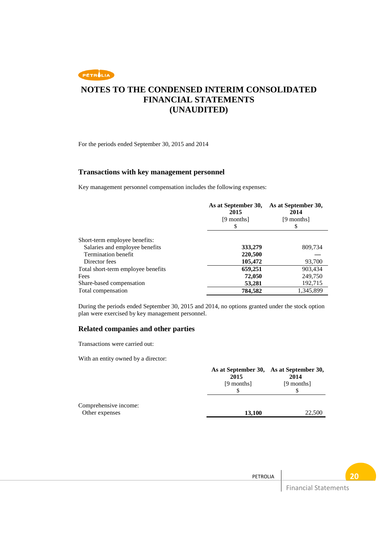

For the periods ended September 30, 2015 and 2014

### **Transactions with key management personnel**

Key management personnel compensation includes the following expenses:

|                                    | As at September 30,<br>2015<br>[9 months]<br>S | As at September 30,<br>2014<br>[9 months]<br>S |  |
|------------------------------------|------------------------------------------------|------------------------------------------------|--|
| Short-term employee benefits:      |                                                |                                                |  |
| Salaries and employee benefits     | 333,279                                        | 809,734                                        |  |
| <b>Termination benefit</b>         | 220,500                                        |                                                |  |
| Director fees                      | 105,472                                        | 93,700                                         |  |
| Total short-term employee benefits | 659,251                                        | 903,434                                        |  |
| Fees                               | 72,050                                         | 249,750                                        |  |
| Share-based compensation           | 53,281                                         | 192,715                                        |  |
| Total compensation                 | 784,582                                        | 1,345,899                                      |  |

During the periods ended September 30, 2015 and 2014, no options granted under the stock option plan were exercised by key management personnel.

#### **Related companies and other parties**

Transactions were carried out:

With an entity owned by a director:

|                                         | As at September 30, As at September 30,<br>2015<br>[9 months] | 2014<br>[9 months] |  |
|-----------------------------------------|---------------------------------------------------------------|--------------------|--|
| Comprehensive income:<br>Other expenses | 13,100                                                        | 22,500             |  |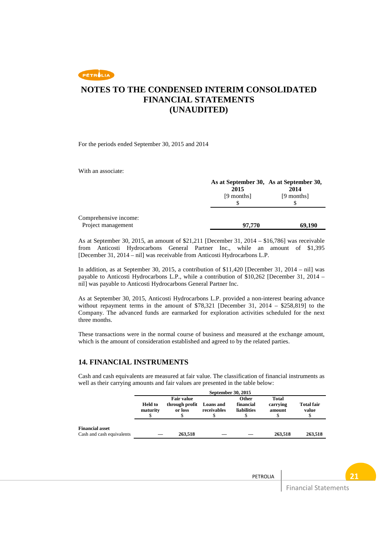## **NOTES TO THE CONDENSED INTERIM CONSOLIDATED FINANCIAL STATEMENTS (UNAUDITED)**

For the periods ended September 30, 2015 and 2014

With an associate:

|                                             | 2015<br>[9 months] | As at September 30, As at September 30,<br>2014<br>[9 months]<br>S |  |
|---------------------------------------------|--------------------|--------------------------------------------------------------------|--|
| Comprehensive income:<br>Project management | 97,770             | 69,190                                                             |  |

As at September 30, 2015, an amount of \$21,211 [December 31, 2014 – \$16,786] was receivable from Anticosti Hydrocarbons General Partner Inc., while an amount of \$1,395 [December 31, 2014 – nil] was receivable from Anticosti Hydrocarbons L.P.

In addition, as at September 30, 2015, a contribution of \$11,420 [December 31, 2014 – nil] was payable to Anticosti Hydrocarbons L.P., while a contribution of \$10,262 [December 31, 2014 – nil] was payable to Anticosti Hydrocarbons General Partner Inc.

As at September 30, 2015, Anticosti Hydrocarbons L.P. provided a non-interest bearing advance without repayment terms in the amount of \$78,321 [December 31, 2014 – \$258,819] to the Company. The advanced funds are earmarked for exploration activities scheduled for the next three months.

These transactions were in the normal course of business and measured at the exchange amount, which is the amount of consideration established and agreed to by the related parties.

#### **14. FINANCIAL INSTRUMENTS**

Cash and cash equivalents are measured at fair value. The classification of financial instruments as well as their carrying amounts and fair values are presented in the table below:

|                                                     | September 30, 2015                                                                     |         |             |                                   |                             |                            |
|-----------------------------------------------------|----------------------------------------------------------------------------------------|---------|-------------|-----------------------------------|-----------------------------|----------------------------|
|                                                     | <b>Fair value</b><br>through profit Loans and<br><b>Held</b> to<br>maturity<br>or loss |         | receivables | Other<br>financial<br>liabilities | Total<br>carrying<br>amount | <b>Total fair</b><br>value |
| <b>Financial asset</b><br>Cash and cash equivalents |                                                                                        | 263,518 |             |                                   | 263.518                     | 263.518                    |

PETROLIA

Financial Statements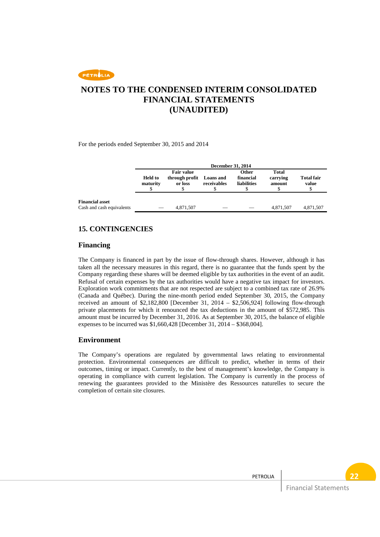# **NOTES TO THE CONDENSED INTERIM CONSOLIDATED FINANCIAL STATEMENTS (UNAUDITED)**

For the periods ended September 30, 2015 and 2014

|                                                     | <b>December 31, 2014</b>                                                     |           |                                                                      |  |                             |                            |
|-----------------------------------------------------|------------------------------------------------------------------------------|-----------|----------------------------------------------------------------------|--|-----------------------------|----------------------------|
|                                                     | <b>Fair value</b><br>through profit<br><b>Held to</b><br>maturity<br>or loss |           | <b>Other</b><br>financial<br>Loans and<br>receivables<br>liabilities |  | Total<br>carrying<br>amount | <b>Total fair</b><br>value |
| <b>Financial asset</b><br>Cash and cash equivalents |                                                                              | 4,871,507 |                                                                      |  | 4,871,507                   | 4,871,507                  |

### **15. CONTINGENCIES**

### **Financing**

The Company is financed in part by the issue of flow-through shares. However, although it has taken all the necessary measures in this regard, there is no guarantee that the funds spent by the Company regarding these shares will be deemed eligible by tax authorities in the event of an audit. Refusal of certain expenses by the tax authorities would have a negative tax impact for investors. Exploration work commitments that are not respected are subject to a combined tax rate of 26.9% (Canada and Québec). During the nine-month period ended September 30, 2015, the Company received an amount of \$2,182,800 [December 31, 2014 – \$2,506,924] following flow-through private placements for which it renounced the tax deductions in the amount of \$572,985. This amount must be incurred by December 31, 2016. As at September 30, 2015, the balance of eligible expenses to be incurred was \$1,660,428 [December 31, 2014 – \$368,004].

### **Environment**

The Company's operations are regulated by governmental laws relating to environmental protection. Environmental consequences are difficult to predict, whether in terms of their outcomes, timing or impact. Currently, to the best of management's knowledge, the Company is operating in compliance with current legislation. The Company is currently in the process of renewing the guarantees provided to the Ministère des Ressources naturelles to secure the completion of certain site closures.

Financial Statements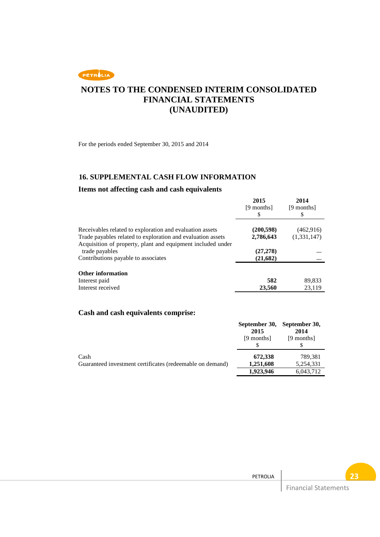

For the periods ended September 30, 2015 and 2014

### **16. SUPPLEMENTAL CASH FLOW INFORMATION**

### **Items not affecting cash and cash equivalents**

|                                                             | 2015<br>[9 months]<br>\$ | 2014<br>[9 months]<br>S |
|-------------------------------------------------------------|--------------------------|-------------------------|
| Receivables related to exploration and evaluation assets    | (200, 598)               | (462, 916)              |
| Trade payables related to exploration and evaluation assets | 2,786,643                | (1,331,147)             |
| Acquisition of property, plant and equipment included under |                          |                         |
| trade payables                                              | (27, 278)                |                         |
| Contributions payable to associates                         | (21,682)                 |                         |
| <b>Other information</b>                                    |                          |                         |
| Interest paid                                               | 582                      | 89,833                  |
| Interest received                                           | 23,560                   | 23,119                  |

## **Cash and cash equivalents comprise:**

|                                                           |            | September 30, September 30, |
|-----------------------------------------------------------|------------|-----------------------------|
|                                                           | 2015       | 2014                        |
|                                                           | [9 months] | [9 months]                  |
|                                                           |            |                             |
| Cash                                                      | 672,338    | 789.381                     |
| Guaranteed investment certificates (redeemable on demand) | 1,251,608  | 5,254,331                   |
|                                                           | 1,923,946  | 6,043,712                   |

PETROLIA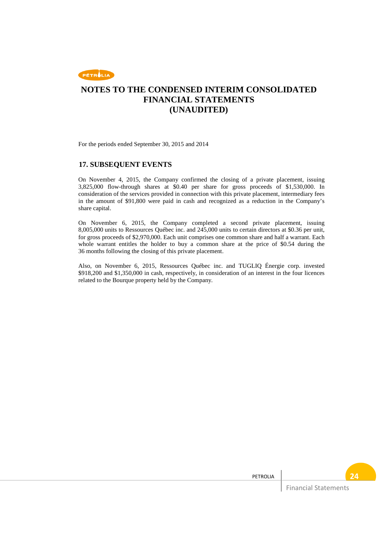

For the periods ended September 30, 2015 and 2014

### **17. SUBSEQUENT EVENTS**

On November 4, 2015, the Company confirmed the closing of a private placement, issuing 3,825,000 flow-through shares at \$0.40 per share for gross proceeds of \$1,530,000. In consideration of the services provided in connection with this private placement, intermediary fees in the amount of \$91,800 were paid in cash and recognized as a reduction in the Company's share capital.

On November 6, 2015, the Company completed a second private placement, issuing 8,005,000 units to Ressources Québec inc. and 245,000 units to certain directors at \$0.36 per unit, for gross proceeds of \$2,970,000. Each unit comprises one common share and half a warrant. Each whole warrant entitles the holder to buy a common share at the price of \$0.54 during the 36 months following the closing of this private placement.

Also, on November 6, 2015, Ressources Québec inc. and TUGLIQ Énergie corp. invested \$918,200 and \$1,350,000 in cash, respectively, in consideration of an interest in the four licences related to the Bourque property held by the Company.

PETROLIA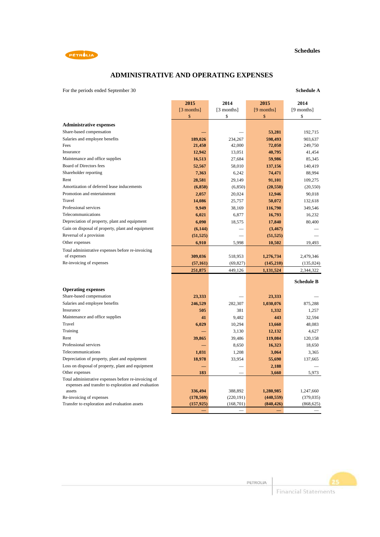



## **ADMINISTRATIVE AND OPERATING EXPENSES**

For the periods ended September 30 **Schedule A**

|                                                               | 2015       | 2014       | 2015       | 2014              |
|---------------------------------------------------------------|------------|------------|------------|-------------------|
|                                                               | [3 months] | [3 months] | [9 months] | [9 months]        |
|                                                               | \$         | \$         | \$         | \$                |
| <b>Administrative expenses</b>                                |            |            |            |                   |
| Share-based compensation                                      |            |            | 53,281     | 192,715           |
| Salaries and employee benefits                                | 189,026    | 234,267    | 598,493    | 903,637           |
| Fees                                                          | 21,450     | 42,000     | 72,050     | 249,750           |
| Insurance                                                     | 12,942     | 13,051     | 40,795     | 41,454            |
| Maintenance and office supplies                               | 16,513     | 27,684     | 59,986     | 85,345            |
| Board of Directors fees                                       | 52,567     | 58,010     | 137,156    | 140,419           |
| Shareholder reporting                                         | 7,363      | 6,242      | 74,471     | 88,994            |
| Rent                                                          | 28,581     | 29,149     | 91,101     | 109,275           |
| Amortization of deferred lease inducements                    | (6, 850)   | (6, 850)   | (20, 550)  | (20, 550)         |
| Promotion and entertainment                                   | 2,057      | 20,024     | 12,946     | 90,018            |
| Travel                                                        | 14,086     | 25,757     | 50,072     | 132,618           |
| Professional services                                         | 9,949      | 38,169     | 116,790    | 349,546           |
| Telecommunications                                            | 6,021      | 6,877      | 16,793     | 16,232            |
| Depreciation of property, plant and equipment                 | 6,090      | 18,575     | 17,840     | 80,400            |
| Gain on disposal of property, plant and equipment             | (6, 144)   |            | (3, 467)   |                   |
| Reversal of a provision                                       | (51, 525)  |            | (51, 525)  |                   |
| Other expenses                                                | 6,910      | 5,998      | 10,502     | 19,493            |
| Total administrative expenses before re-invoicing             |            |            |            |                   |
| of expenses                                                   | 309,036    | 518,953    | 1,276,734  | 2,479,346         |
| Re-invoicing of expenses                                      | (57, 161)  | (69, 827)  | (145,210)  | (135, 024)        |
|                                                               | 251,875    | 449,126    | 1,131,524  | 2,344,322         |
|                                                               |            |            |            |                   |
|                                                               |            |            |            | <b>Schedule B</b> |
| <b>Operating expenses</b>                                     |            |            |            |                   |
| Share-based compensation                                      | 23,333     |            | 23,333     |                   |
| Salaries and employee benefits                                | 246,529    | 282,307    | 1,030,076  | 875,288           |
| Insurance                                                     | 505        | 381        | 1,332      | 1,257             |
| Maintenance and office supplies                               | 41         | 9,482      | 443        | 32,594            |
| Travel                                                        | 6,029      | 10,294     | 13,660     | 48,083            |
| Training                                                      |            | 3,130      | 12,132     | 4,627             |
| Rent                                                          | 39,865     | 39,486     | 119,084    | 120,158           |
| Professional services                                         |            | 8,650      | 16,323     | 18,650            |
| Telecommunications                                            | 1,031      | 1,208      | 3,064      | 3,365             |
| Depreciation of property, plant and equipment                 | 18,978     | 33,954     | 55,690     | 137,665           |
| Loss on disposal of property, plant and equipment             |            |            | 2,188      |                   |
| Other expenses                                                | 183        |            | 3,660      | 5,973             |
| Total administrative expenses before re-invoicing of          |            |            |            |                   |
| expenses and transfer to exploration and evaluation<br>assets | 336,494    | 388,892    | 1,280,985  | 1,247,660         |
| Re-invoicing of expenses                                      | (178, 569) | (220, 191) | (440, 559) | (379, 035)        |
| Transfer to exploration and evaluation assets                 | (157, 925) | (168, 701) | (840, 426) | (868, 625)        |
|                                                               |            |            |            |                   |

PETROLIA